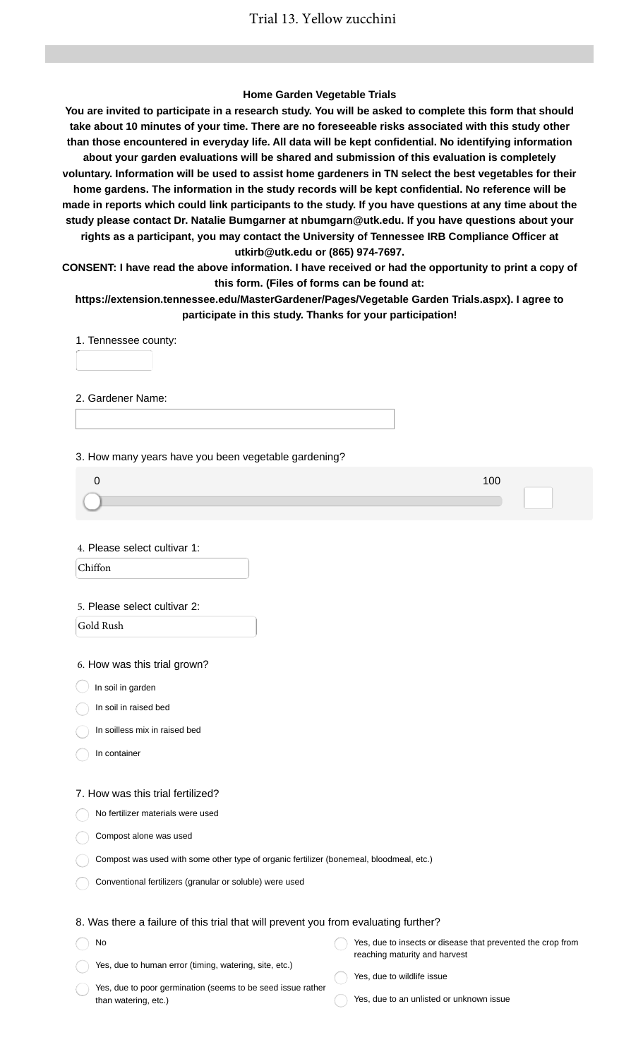#### **Home Garden Vegetable Trials**

**You are invited to participate in a research study. You will be asked to complete this form that should take about 10 minutes of your time. There are no foreseeable risks associated with this study other than those encountered in everyday life. All data will be kept confidential. No identifying information about your garden evaluations will be shared and submission of this evaluation is completely voluntary. Information will be used to assist home gardeners in TN select the best vegetables for their home gardens. The information in the study records will be kept confidential. No reference will be made in reports which could link participants to the study. If you have questions at any time about the study please contact Dr. Natalie Bumgarner at nbumgarn@utk.edu. If you have questions about your rights as a participant, you may contact the University of Tennessee IRB Compliance Officer at utkirb@utk.edu or (865) 974-7697.**

**CONSENT: I have read the above information. I have received or had the opportunity to print a copy of this form. (Files of forms can be found at:**

**https://extension.tennessee.edu/MasterGardener/Pages/Vegetable Garden Trials.aspx). I agree to participate in this study. Thanks for your participation!**

1. Tennessee county:

2. Gardener Name:

3. How many years have you been vegetable gardening?

4. Please select cultivar 1:

Chiffon

#### 5. Please select cultivar 2:

Gold Rush

6. How was this trial grown?

 $\bigcup$  In soil in garden

In soil in raised bed

In soilless mix in raised bed

In container

No

#### 7. How was this trial fertilized?

No fertilizer materials were used

Compost alone was used

Compost was used with some other type of organic fertilizer (bonemeal, bloodmeal, etc.)

Conventional fertilizers (granular or soluble) were used

### 8. Was there a failure of this trial that will prevent you from evaluating further?

Yes, due to insects or disease that prevented the crop from reaching maturity and harvest

Yes, due to human error (timing, watering, site, etc.)

Yes, due to poor germination (seems to be seed issue rather than watering, etc.)

Yes, due to wildlife issue

Yes, due to an unlisted or unknown issue